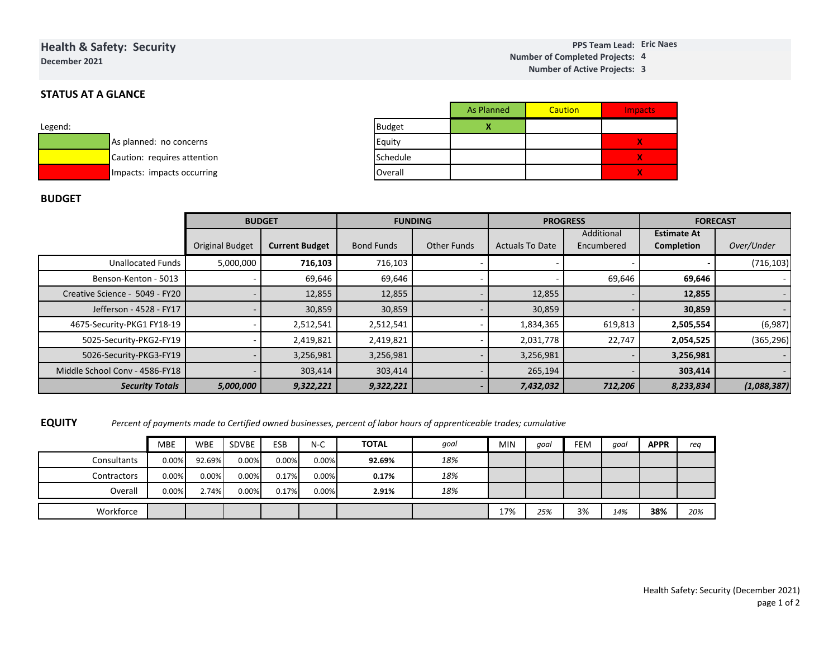## **Health & Safety: Security**

**December 2021**

**4Number of Completed Projects: 3 Number of Active Projects:**

## **STATUS AT A GLANCE**

| Legend: |                             |
|---------|-----------------------------|
|         | As planned: no concerns     |
|         | Caution: requires attention |
|         | Impacts: impacts occurring  |

|               | <b>As Planned</b> | Caution | <b>Impacts</b> |
|---------------|-------------------|---------|----------------|
| <b>Budget</b> |                   |         |                |
| Equity        |                   |         |                |
| Schedule      |                   |         |                |
| Overall       |                   |         |                |

### **BUDGET**

|                                |                        |                       |                   |                    | As Planned                           | <b>Caution</b>  | <b>Impacts</b>     |             |  |  |  |
|--------------------------------|------------------------|-----------------------|-------------------|--------------------|--------------------------------------|-----------------|--------------------|-------------|--|--|--|
| Legend:                        |                        |                       | <b>Budget</b>     |                    | X                                    |                 |                    |             |  |  |  |
| As planned: no concerns        |                        |                       | Equity            |                    |                                      |                 | $\mathbf{x}$       |             |  |  |  |
| Caution: requires attention    |                        |                       | Schedule          |                    |                                      |                 | W                  |             |  |  |  |
| Impacts: impacts occurring     |                        |                       | Overall           |                    |                                      |                 | $\mathbf{x}$       |             |  |  |  |
| <b>BUDGET</b>                  |                        |                       |                   |                    |                                      |                 |                    |             |  |  |  |
|                                |                        | <b>BUDGET</b>         |                   | <b>FUNDING</b>     |                                      | <b>PROGRESS</b> | <b>FORECAST</b>    |             |  |  |  |
|                                |                        |                       |                   |                    |                                      | Additional      | <b>Estimate At</b> |             |  |  |  |
|                                | <b>Original Budget</b> | <b>Current Budget</b> | <b>Bond Funds</b> | <b>Other Funds</b> | <b>Actuals To Date</b><br>Encumbered |                 | Completion         | Over/Under  |  |  |  |
| <b>Unallocated Funds</b>       | 5,000,000              | 716,103               | 716,103           |                    |                                      |                 |                    | (716, 103)  |  |  |  |
| Benson-Kenton - 5013           |                        | 69,646                | 69,646            |                    |                                      | 69,646          | 69,646             |             |  |  |  |
| Creative Science - 5049 - FY20 |                        | 12,855                | 12,855            |                    | 12,855                               |                 | 12,855             |             |  |  |  |
| Jefferson - 4528 - FY17        |                        | 30,859                | 30,859            | -                  | 30,859                               |                 | 30,859             |             |  |  |  |
| 4675-Security-PKG1 FY18-19     |                        | 2,512,541             | 2,512,541         |                    | 1,834,365                            | 619,813         | 2,505,554          | (6,987)     |  |  |  |
| 5025-Security-PKG2-FY19        |                        | 2,419,821             | 2,419,821         |                    | 2,031,778                            | 22,747          | 2,054,525          | (365, 296)  |  |  |  |
| 5026-Security-PKG3-FY19        |                        | 3,256,981             | 3,256,981         |                    | 3,256,981                            |                 | 3,256,981          |             |  |  |  |
| Middle School Conv - 4586-FY18 |                        | 303,414               | 303,414           |                    | 265,194                              |                 | 303,414            |             |  |  |  |
| <b>Security Totals</b>         | 5,000,000              | 9,322,221             | 9,322,221         |                    | 7,432,032                            | 712,206         | 8,233,834          | (1,088,387) |  |  |  |

**EQUITY***Percent of payments made to Certified owned businesses, percent of labor hours of apprenticeable trades; cumulative*

|             | <b>MBE</b> | <b>WBE</b> | SDVBE    | ESB   | $N-C$ | <b>TOTAL</b> | goal | <b>MIN</b> | goal | FEM | goal | <b>APPR</b> | rea |
|-------------|------------|------------|----------|-------|-------|--------------|------|------------|------|-----|------|-------------|-----|
| Consultants | 0.00%      | 92.69%     | $0.00\%$ | 0.00% | 0.00% | 92.69%       | 18%  |            |      |     |      |             |     |
| Contractors | $0.00\%$   | 0.00%      | 0.00%    | 0.17% | 0.00% | 0.17%        | 18%  |            |      |     |      |             |     |
| Overall     | 0.00%      | 2.74%      | $0.00\%$ | 0.17% | 0.00% | 2.91%        | 18%  |            |      |     |      |             |     |
| Workforce   |            |            |          |       |       |              |      | 17%        | 25%  | 3%  | 14%  | 38%         | 20% |